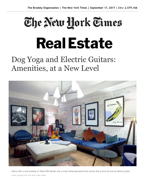## The New Hork Times **Real Estate**

## Dog Yoga and Electric Guitars: Amenities, at a New Level



Henry Hall, a new building on West 38th Street, has a music rehearsal space that comes with a drum kit and an electric guitar. LINDA JAQUEZ FOR THE NEW YORK TIMES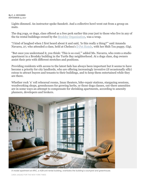## By C. J. HUGHES SEPTEMBER 15, 2017

Lights dimmed. An instructor spoke Sanskrit. And a collective howl went out from a group on mats.

The dog yoga, or doga, class offered as a free perk earlier this year just to those who live in any of the 62 rental buildings owned by the Brodsky Organization, was a wrap.

"I kind of laughed when I first heard about it and said, 'Is this really a thing?'" said Amanda Navarra, 27, who attended a class, held at Chelsea's D Pet Hotels, with her Shih Tzu puppy, Gigi.

"But once you understand it, you think: 'This is so cool,'" added Ms. Navarra, who rents a studio apartment in a Brodsky building in the Turtle Bay neighborhood. At a doga class, dog owners assist their pets with different stretches and positions.

Providing residents with access to the latest fads has always been important but it seems to have become a priority for city landlords, who are offering increasingly inventive (if occasionally silly) extras to attract buyers and tenants to their buildings, and to keep them entertained while they are there.

Whether rock 'n' roll rehearsal rooms, Imax theaters, bike-repair stations, stargazing sessions, woodworking shops, greenhouses for growing herbs, or those doga classes, out-there amenities are in some ways an attempt to compensate for shrinking apartments, according to amenity planners, developers and brokers.



A model apartment at ARC, a 428-unit rental building, overlooks the building's courtyard and greenhouse. LINDA JAQUEZ FOR THE NEW YORK TIMES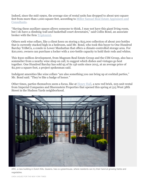Indeed, since the mid-1990s, the average size of rental units has dropped to about 900 square feet from more than 1,000 square feet, according to Miller Samuel Real Estate Appraisers and Consultants.

"Having these auxiliary spaces allows someone to think, I may not have this giant living room, but I do have a climbing wall and basketball court downstairs," said Collin Bond, an associate broker with the firm Triplemint.

Others seek wine cellars, like a client keen on storing a \$25,000 collection of about 200 bottles that is currently stacked high in a bedroom, said Mr. Bond, who took this buyer to One Hundred Barclay TriBeCa, a condo in Lower Manhattan that offers a climate-controlled storage area. For \$20,000, owners can purchase a locker with a 100-bottle capacity to hold their reds and whites.

This \$500 million development, from Magnum Real Estate Group and the CIM Group, also has a sommelier from a nearby wine shop on call, to suggest which dishes and vintages go best together. One Hundred Barclay has sold 95 of its 156 units since 2015, at an average price of \$2,300 a square foot, a project spokesman said.

Indulgent amenities like wine cellars "are also something you can bring up at cocktail parties," Mr. Bond said. "They're like a badge of honor."

Other times, parties themselves seem a focus, like at Henry Hall, a new red brick, 225-unit rental from Imperial Companies and Shorenstein Properties that opened this spring at 515 West 38th Street in the Hudson Yards neighborhood.



ARC, a new building in Dutch Kills, Queens, has a a greenhouse, where residents can try their hand at growing herbs and vegetables.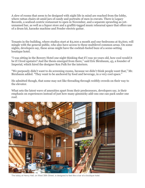A slew of rooms that seem to be designed with night life in mind are reached from the lobby, where rattan chairs sit amid jars of candy and portraits of men in cravats. There is Legacy Records, a seafood-centric restaurant to open in November, and a separate sprawling as-yetunnamed bar, as well as a liquor store and a graffiti-tagged music rehearsal space that offers use of a drum kit, karaoke machine and Fender electric guitar.

Tenants in the building, where studios start at \$3,000 a month and one-bedrooms at \$3,600, will mingle with the general public, who also have access to these multilevel common areas. On some nights, developers say, these areas might have the cocktail-fueled buzz of a scene-setting boutique hotel.

"I was sitting in the Bowery Hotel one night thinking that if I was 30 years old, how cool would it be if I lived upstairs? And the thesis emerged from there," said Eric Birnbaum, 43, a founder of Imperial, which hired the designer Ken Fulk for the interiors.

"We purposely didn't want to do screening rooms, because we didn't think people want that," Mr. Birnbaum added. "They want to be anchored by food and beverage, in a very cool space."

He admitted though, that some may not like threading through wobbly crowds on their way to the elevator.

What sets the latest wave of amenities apart from their predecessors, developers say, is their emphasis on experiences instead of just how many gimmicky add-ons one can pack under one roof.



The lobby at Henry Hall, on West 38th Street, is designed to feel like a bar at a boutique hotel.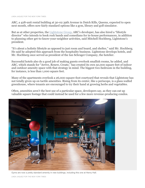ARC, a 428-unit rental building at 30-02 39th Avenue in Dutch Kills, Queens, expected to open next month, offers now fairly standard options like a gym, library and golf simulator.

But as at other properties, the Lightstone Group, ARC's developer, has also hired a "lifestyle director" who intends to book rock bands and comedians for in-house performances, in addition to planning other get-to-know-your-neighbor activities, said Mitchell Hochberg, Lightstone's president.

"It's about a holistic lifestyle as opposed to just room and board, and shelter," said Mr. Hochberg. He said he adopted this approach from the hospitality business. Lightstone develops hotels, and Mr. Hochberg once served as president of the Ian Schrager Company, the hotelier.

Successful hotels also do a good job of making guests overlook smallish rooms, he added, and ARC, which stands for "Arrive, Renew, Create," has created its own 50,000 square feet of indoor and outdoor amenity space with that strategy in mind. The biggest two-bedroom in the building, for instance, is less than 1,000 square feet.

Many of the apartments overlook a 26,000-square-foot courtyard that reveals that Lightstone has not totally given up on tactile amenities. Rising from its center, like a periscope, is a glass-walled greenhouse, where tenants are encouraged to try their hand at growing herbs and vegetables.

Often, amenities aren't the best use of a particular space, developers say, as they can eat up valuable square footage that could instead be used for a few more revenue-producing condos.



Gyms are now a pretty standard amenity in new buildings, including this one at Henry Hall.

LINDA JAQUEZ FOR THE NEW YORK TIMES